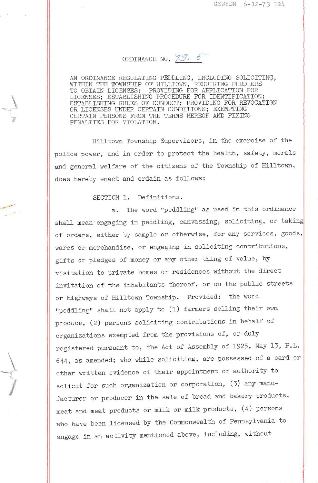## ORDINANCE NO. 73-5

AN ORDINANCE REGULATING PEDDLING, INCLUDING SOLICITING, WITHIN THE TOWNSHIP OF HILLTOWN, REQUIRING PEDDLERS<br>TO OBTAIN LICENSES; PROVIDING FOR APPLICATION FOR PROVIDING FOR APPLICATION FOR LICENSES; ESTABLISHING PROCEDURE FOR IDENTIFICA'I'ION; ES'I'ABLISHING RULES OF CONDUCT; PRO'VIDING FOR REVOCA'lION OR LICENSES UNDER CERTAIN CONDI'I'IONS; EXEMP'I'ING CERTAIN PERSONS FROM THE TERMS HEREOF AND FIXI PENALTIES FOR VIOLATION.

Hilltown Township Supervisors, in the exercise of the police power, and in order to protect the health, safety, morals and general welfare of the citizens of the Township of Hilltown, does hereby enact and ordain as follows:

SECTION 1. Definitions.

a. The word "peddling" as used in this shall mean engaging in peddling, canvassing, soliciting, or taking of orders, either by sample or otherwise, for any services, goods, wares or merchandise, or engaging in soliciting contributions, gifts or pledges of money or any other thing of value, by visitation to private homes or residences without the direct invitation of the inhabitants thereof, or on the public or highways of Hilltown Iownship. Provided: the word "peddling" shall not apply to (1) farmers selling their own produce, (2) persons soliciting contributions in behalf of organizations exempted from the provisions of, or duly registered pursuant to, the Act of Assembly of 1925, May 13, P.L. 644, as amended; who while soliciting, are possessed of a card or other written evidence of their appointment or authority to solicit for such organization or corporation, (3) any manufacturer or producer in the sale of bread and bakery products, meat and meat products or milk or milk' products, (4) persons who have been licensed by the Commonwealth of Pennsylvania to engage in an activity mentioned above, including, without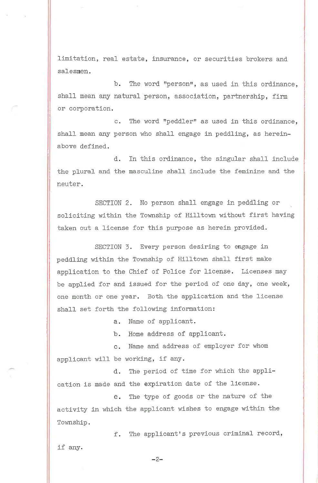limitation, real estate, insurance, or securities brokers and salesmen.

b. The word "person", as used in this ordinance, shall mean any natural person, association, partnership, firm or corporation.

c. The word "peddler" as used in this ordinance, shall mean any person who shall engage in peddling, as hereinabove defined.

d. In this ordinance, the singular shall include the plural and the masculine shall include the feminine and the neuter.

SECTION 2. No person shall engage in peddling or soliciting within the Township of Hilltown without first having taken out a license for this purpose as herein provided.

SECTION 3. Every person desiring to engage in peddling within the Township of Hilltown shall first make application to the Chief of Police for license. Licenses may be applied for and issued for the period of one day, one week, one month or one year. Both the applicafion and the license shall set forth the following information:

a. Name of applicant.

,ir-

b. Home address of applicant.

c. Name and address of employer for whom applicant will be working, if any.

d. The period of time for which the application is made and the expiration date of the license.

e. The type of goods or the nature of the activity in which the applicant wishes to engage within the Township.

f. The applicant's previous criminal record, if any.

-2-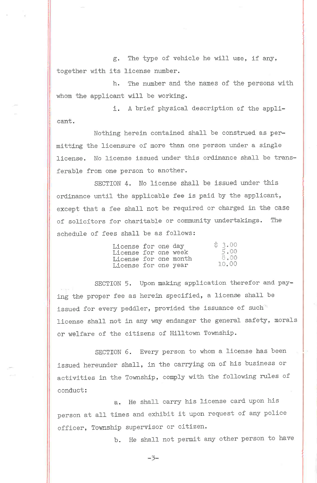g. The type of vehicle he will use, if any, together with its license number.

h. The number and the names of the persons with whom the applicant will be working.

i. A brief physical description of the applicant.

Nothing herein contained shall be construed as permitting the licensure of more than one person under a single license. No license issued under this ordinance shall be transferable from one person to another.

SECTION 4. No license shall be issued under this ordinance until the applicable fee is paid by the applicant, except that a fee shall not be required or charged in the case of solicitors for charitable or community undertakings. The schedule of fees shall be as follows:

| License for one day   |  | \$3.00 |
|-----------------------|--|--------|
| License for one week  |  | 5.00   |
| License for one month |  | 8.00   |
| License for one year  |  | 10.00  |

SECTION 5. Upon making application therefor and paying the proper fee as herein specified, a license shall be issued for every peddler, provided the issuance of such license shall not in any way endanger the general safety, morals or welfare of the citizens of Hilltown Township.

SECTION 6. Every person to whom a license has been issued hereunder shall, in the carrying on of his business or activities in the Township, comply with the following rules of conduct :

a. He shall carry his license card upon his person at all times and exhibit it upon request of any police officer, Township supervisor or citizen.

b. He shall not permit any other person to have

 $-3-$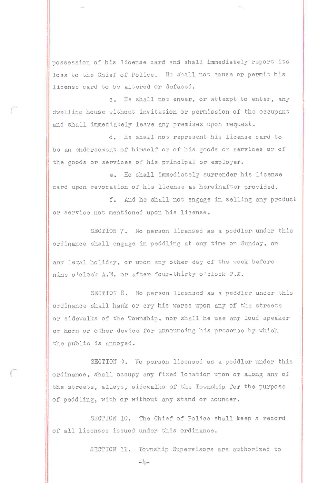possession of his license card and shall immediately report its loss to the Chief of Police. He shall not cause or permit his license card to be altered or defaced.

c. He shall not enber, or attempt to enter, any dwelling house without invitation or permission of the occupant and shall immediately leave any premises upon request.

d. He shall not represent his license card to be an endorsement of himself or of his goods or services or of the goods or services of his principal or employer.

e. He shall immediately surrender his license card upon revocation of his license as hereinafter provided.

f. And he shall not engage in selling any product or service not mentioned upon his license.

SECTION 7. No person licensed as a peddler under this ordinance shall engage in peddling at any time on Sunday, on

any legal holiday, or upon any other day of the week before nine o'clock A.M. or after four-thirty o'clock P.M.

SECTION 8. No person licensed as a peddler under this ordinance shall hawk or cry his wares upon any of the streets or sidewalks of the Township, nor shall he use any loud speaker or horn or other device fop announcing his presence by which the public is annoyed.

SECTION 9. No person licensed as a peddler under this ordinance, shall occupy any fixed location upon or along any of the streets, alleys, sidewalks of the Township for the purpose of peddling, with or without any stand or counter.

SECTION 10. The Chief of Police shall keep a record of all licenses issued under this ordinance.

SECTION 11. Township Supervisors are authorized to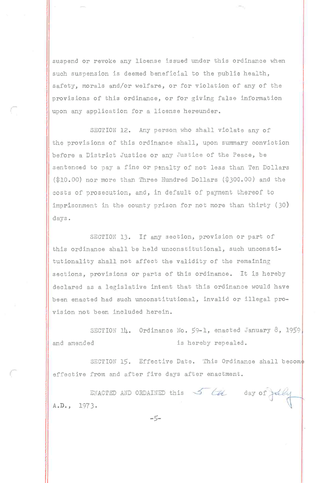suspend or revoke any license issued under this ordinance when such suspension is deemed beneficial to the public health, safety, morals and/or welfare, or for violation of any of the provisions of this ordinance, or for giving false information upon any application for a license hereunder.

SECTION 12. Any person who shall violate any of the provisions of this ordinance shall, upon summary conviction before a District Justice or any Justice of the Peace, be sentenced to pay a fine or penalty of not less than Ten Dollars (\$10.00) nor more than Three Hundred Dollars (\$300.00) and the costs of prosecution, and, in default of payment thereof to imprisonment in the county prison for not more than thirty (30) days.

SECTION 13. If any section, provision or part of this ordinance shall be held unconstitutional, such unconstitutionality shall not affect the validity of the remaining sections, provisions or parts of this ordinance. It is hereby declared as a legislative intent that this ordinance would have been enacted had such unconstitutional, invalid or illegal provision not been included herein.

SECTION 14. Ordinance No. 59-1, enacted January 8, 1959, and amended is hereby repealed.

SECTION 15. Effective Date. This Ordinance shall become effective from and after five days after enactment.

ENACTED AND ORDAINED this  $\frac{1}{\sqrt{2}}$  (H) day of fully A.D., 1973.